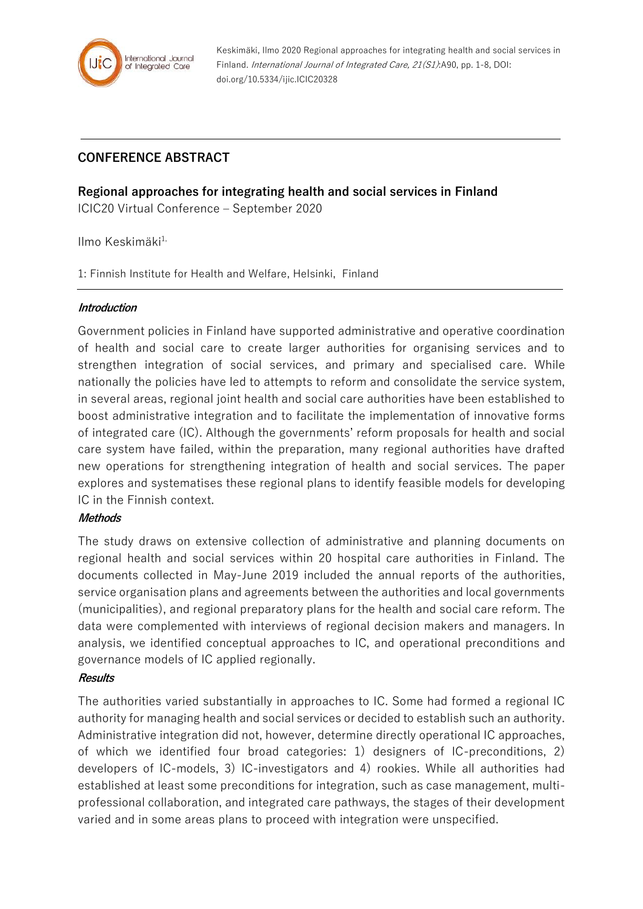

Keskimäki, Ilmo 2020 Regional approaches for integrating health and social services in Finland. International Journal of Integrated Care, 21(S1):A90, pp. 1-8, DOI: doi.org/10.5334/ijic.ICIC20328

# **CONFERENCE ABSTRACT**

**Regional approaches for integrating health and social services in Finland**

ICIC20 Virtual Conference – September 2020

Ilmo Keskimäki<sup>1,</sup>

1: Finnish Institute for Health and Welfare, Helsinki, Finland

### **Introduction**

Government policies in Finland have supported administrative and operative coordination of health and social care to create larger authorities for organising services and to strengthen integration of social services, and primary and specialised care. While nationally the policies have led to attempts to reform and consolidate the service system, in several areas, regional joint health and social care authorities have been established to boost administrative integration and to facilitate the implementation of innovative forms of integrated care (IC). Although the governments' reform proposals for health and social care system have failed, within the preparation, many regional authorities have drafted new operations for strengthening integration of health and social services. The paper explores and systematises these regional plans to identify feasible models for developing IC in the Finnish context.

# **Methods**

The study draws on extensive collection of administrative and planning documents on regional health and social services within 20 hospital care authorities in Finland. The documents collected in May-June 2019 included the annual reports of the authorities, service organisation plans and agreements between the authorities and local governments (municipalities), and regional preparatory plans for the health and social care reform. The data were complemented with interviews of regional decision makers and managers. In analysis, we identified conceptual approaches to IC, and operational preconditions and governance models of IC applied regionally.

# **Results**

The authorities varied substantially in approaches to IC. Some had formed a regional IC authority for managing health and social services or decided to establish such an authority. Administrative integration did not, however, determine directly operational IC approaches, of which we identified four broad categories: 1) designers of IC-preconditions, 2) developers of IC-models, 3) IC-investigators and 4) rookies. While all authorities had established at least some preconditions for integration, such as case management, multiprofessional collaboration, and integrated care pathways, the stages of their development varied and in some areas plans to proceed with integration were unspecified.